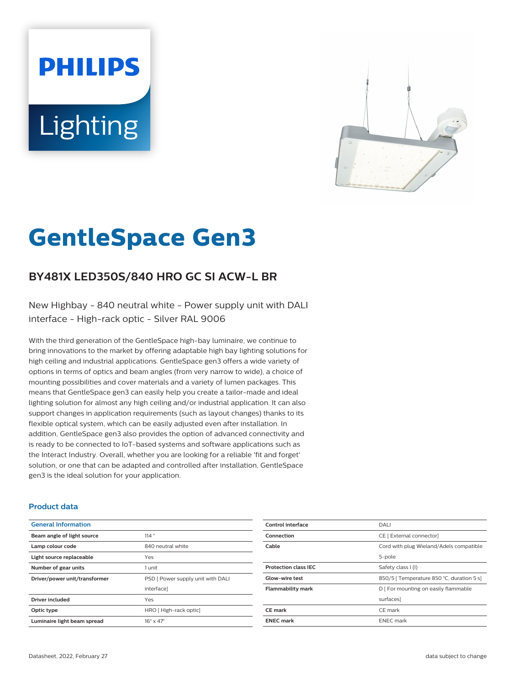# **PHILIPS** Lighting



# **GentleSpace Gen3**

# **BY481X LED350S/840 HRO GC SI ACW-L BR**

New Highbay - 840 neutral white - Power supply unit with DALI interface - High-rack optic - Silver RAL 9006

With the third generation of the GentleSpace high-bay luminaire, we continue to bring innovations to the market by offering adaptable high bay lighting solutions for high ceiling and industrial applications. GentleSpace gen3 offers a wide variety of options in terms of optics and beam angles (from very narrow to wide), a choice of mounting possibilities and cover materials and a variety of lumen packages. This means that GentleSpace gen3 can easily help you create a tailor-made and ideal lighting solution for almost any high ceiling and/or industrial application. It can also support changes in application requirements (such as layout changes) thanks to its flexible optical system, which can be easily adjusted even after installation. In addition, GentleSpace gen3 also provides the option of advanced connectivity and is ready to be connected to IoT-based systems and software applications such as the Interact Industry. Overall, whether you are looking for a reliable 'fit and forget' solution, or one that can be adapted and controlled after installation, GentleSpace gen3 is the ideal solution for your application.

#### **Product data**

| <b>General Information</b>    |                                   |
|-------------------------------|-----------------------------------|
| Beam angle of light source    | 114°                              |
| Lamp colour code              | 840 neutral white                 |
| Light source replaceable      | Yes                               |
| Number of gear units          | 1 unit                            |
| Driver/power unit/transformer | PSD [ Power supply unit with DALI |
|                               | interface]                        |
| <b>Driver included</b>        | Yes                               |
| Optic type                    | HRO [High-rack optic]             |
| Luminaire light beam spread   | $16^\circ \times 47^\circ$        |

| Control interface           | DALI                                      |
|-----------------------------|-------------------------------------------|
| Connection                  | CE [ External connector]                  |
| Cable                       | Cord with plug Wieland/Adels compatible   |
|                             | 5-pole                                    |
| <b>Protection class IEC</b> | Safety class I (I)                        |
| <b>Glow-wire test</b>       | 850/5   Temperature 850 °C, duration 5 s] |
| <b>Flammability mark</b>    | D   For mounting on easily flammable      |
|                             | surfaces]                                 |
| CE mark                     | CE mark                                   |
| <b>ENEC mark</b>            | <b>ENEC</b> mark                          |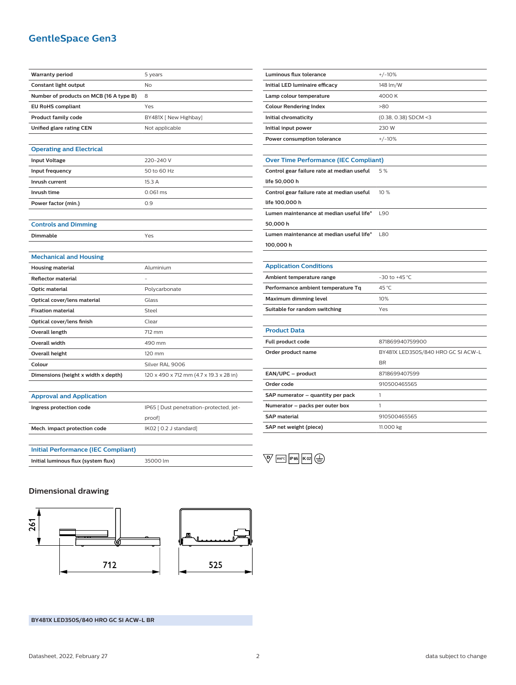## **GentleSpace Gen3**

| <b>Warranty period</b>                     | 5 years                                 |
|--------------------------------------------|-----------------------------------------|
| Constant light output                      | No                                      |
| Number of products on MCB (16 A type B)    | 8                                       |
| <b>EU RoHS compliant</b>                   | Yes                                     |
| <b>Product family code</b>                 | BY481X [ New Highbay]                   |
| Unified glare rating CEN                   | Not applicable                          |
|                                            |                                         |
| <b>Operating and Electrical</b>            |                                         |
| <b>Input Voltage</b>                       | 220-240 V                               |
| Input frequency                            | 50 to 60 Hz                             |
| Inrush current                             | 15.3 A                                  |
| Inrush time                                | 0.061 ms                                |
| Power factor (min.)                        | 0.9                                     |
|                                            |                                         |
| <b>Controls and Dimming</b>                |                                         |
| Dimmable                                   | Yes                                     |
|                                            |                                         |
| <b>Mechanical and Housing</b>              |                                         |
| <b>Housing material</b>                    | Aluminium                               |
| <b>Reflector material</b>                  |                                         |
| Optic material                             | Polycarbonate                           |
| Optical cover/lens material                | Glass                                   |
| <b>Fixation material</b>                   | Steel                                   |
| Optical cover/lens finish                  | Clear                                   |
| <b>Overall length</b>                      | 712 mm                                  |
| Overall width                              | 490 mm                                  |
| <b>Overall height</b>                      | 120 mm                                  |
| Colour                                     | Silver RAL 9006                         |
| Dimensions (height x width x depth)        | 120 x 490 x 712 mm (4.7 x 19.3 x 28 in) |
|                                            |                                         |
| <b>Approval and Application</b>            |                                         |
| Ingress protection code                    | IP65 [ Dust penetration-protected, jet- |
|                                            | proof]                                  |
| Mech. impact protection code               | IK02 [ 0.2 J standard]                  |
|                                            |                                         |
| <b>Initial Performance (IEC Compliant)</b> |                                         |
| Initial luminous flux (system flux)        | 35000 lm                                |

| <b>Luminous flux tolerance</b>               | $+/-10%$                           |
|----------------------------------------------|------------------------------------|
| Initial LED luminaire efficacy               | 148 lm/W                           |
| Lamp colour temperature                      | 4000K                              |
| <b>Colour Rendering Index</b>                | >80                                |
| Initial chromaticity                         | (0.38, 0.38) SDCM <3               |
| Initial input power                          | 230 W                              |
| Power consumption tolerance                  | $+/-10%$                           |
|                                              |                                    |
| <b>Over Time Performance (IEC Compliant)</b> |                                    |
| Control gear failure rate at median useful   | 5%                                 |
| life 50,000 h                                |                                    |
| Control gear failure rate at median useful   | 10%                                |
| life 100,000 h                               |                                    |
| Lumen maintenance at median useful life*     | <b>L90</b>                         |
| 50,000 h                                     |                                    |
| Lumen maintenance at median useful life*     | <b>L80</b>                         |
| 100,000 h                                    |                                    |
|                                              |                                    |
| <b>Application Conditions</b>                |                                    |
| Ambient temperature range                    | $-30$ to $+45$ °C                  |
| Performance ambient temperature Tq           | 45 °C                              |
| Maximum dimming level                        | 10%                                |
| Suitable for random switching                | Yes                                |
|                                              |                                    |
| <b>Product Data</b>                          |                                    |
| Full product code                            | 871869940759900                    |
| Order product name                           | BY481X LED350S/840 HRO GC SI ACW-L |
|                                              | <b>BR</b>                          |
| EAN/UPC - product                            | 8718699407599                      |
| Order code                                   | 910500465565                       |
| SAP numerator – quantity per pack            | 1                                  |

**Numerator – packs per outer box** 1

 $\overline{\mathbb{Q}}$  850°C P65 K02

**SAP material** 910500465565 **SAP net weight (piece)** 11.000 kg

**Dimensional drawing**



**BY481X LED350S/840 HRO GC SI ACW-L BR**